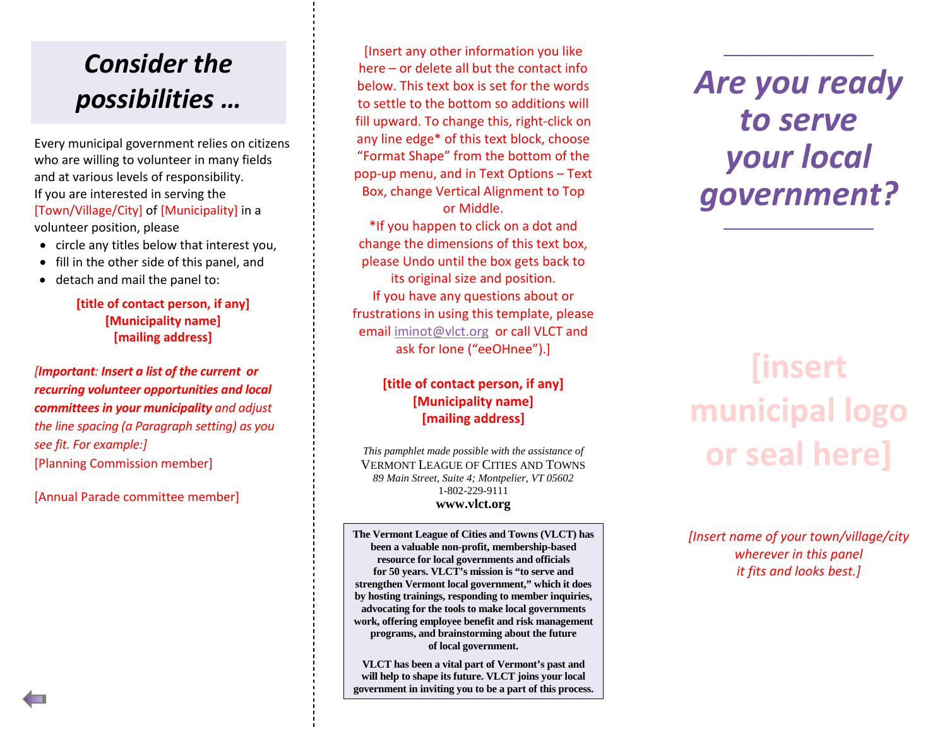## *Consider the possibilities …*

Every municipal government relies on citizens who are willing to volunteer in many fields and at various levels of responsibility. If you are interested in serving the [Town/Village/City] of [Municipality] in a volunteer position, please

- circle any titles below that interest you,
- fill in the other side of this panel, and
- detach and mail the panel to:

#### **[title of contact person, if any] [Municipality name] [mailing address]**

*[Important: Insert a list of the current or recurring volunteer opportunities and local committees in your municipality and adjust the line spacing (a Paragraph setting) as you see fit. For example:]* [Planning Commission member]

[Annual Parade committee member]

[Insert any other information you like here – or delete all but the contact info below. This text box is set for the words to settle to the bottom so additions will fill upward. To change this, right-click on any line edge\* of this text block, choose "Format Shape" from the bottom of the pop-up menu, and in Text Options – Text Box, change Vertical Alignment to Top or Middle.

\*If you happen to click on a dot and change the dimensions of this text box, please Undo until the box gets back to its original size and position. If you have any questions about or frustrations in using this template, please email [iminot@vlct.org](mailto:iminot@vlct.org) or call VLCT and ask for Ione ("eeOHnee").]

### **[title of contact person, if any] [Municipality name] [mailing address]**

*This pamphlet made possible with the assistance of* VERMONT LEAGUE OF CITIES AND TOWNS *89 Main Street, Suite 4; Montpelier, VT 05602* 1-802-229-9111 **www.vlct.org**

**The Vermont League of Cities and Towns (VLCT) has been a valuable non-profit, membership-based resource for local governments and officials for 50 years. VLCT's mission is "to serve and strengthen Vermont local government," which it does by hosting trainings, responding to member inquiries, advocating for the tools to make local governments work, offering employee benefit and risk management programs, and brainstorming about the future of local government.**

**VLCT has been a vital part of Vermont's past and will help to shape its future. VLCT joins your local government in inviting you to be a part of this process.** *Are you ready to serve your local government?*

**\_\_\_\_\_\_\_\_\_\_\_\_\_\_\_\_\_\_\_\_\_**

**\_\_\_\_\_\_\_\_\_\_\_\_\_\_\_\_\_\_\_\_\_**

# **finsert** municipal logo or seal here]

*[Insert name of your town/village/city wherever in this panel it fits and looks best.]*